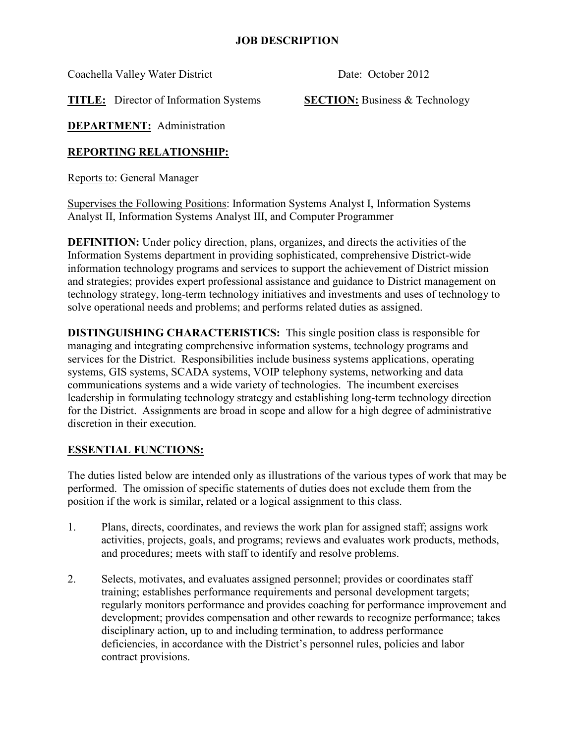Coachella Valley Water District Date: October 2012

**TITLE:** Director of Information Systems **SECTION:** Business & Technology

**DEPARTMENT:** Administration

# **REPORTING RELATIONSHIP:**

Reports to: General Manager

Supervises the Following Positions: Information Systems Analyst I, Information Systems Analyst II, Information Systems Analyst III, and Computer Programmer

**DEFINITION:** Under policy direction, plans, organizes, and directs the activities of the Information Systems department in providing sophisticated, comprehensive District-wide information technology programs and services to support the achievement of District mission and strategies; provides expert professional assistance and guidance to District management on technology strategy, long-term technology initiatives and investments and uses of technology to solve operational needs and problems; and performs related duties as assigned.

**DISTINGUISHING CHARACTERISTICS:** This single position class is responsible for managing and integrating comprehensive information systems, technology programs and services for the District. Responsibilities include business systems applications, operating systems, GIS systems, SCADA systems, VOIP telephony systems, networking and data communications systems and a wide variety of technologies. The incumbent exercises leadership in formulating technology strategy and establishing long-term technology direction for the District. Assignments are broad in scope and allow for a high degree of administrative discretion in their execution.

# **ESSENTIAL FUNCTIONS:**

The duties listed below are intended only as illustrations of the various types of work that may be performed. The omission of specific statements of duties does not exclude them from the position if the work is similar, related or a logical assignment to this class.

- 1. Plans, directs, coordinates, and reviews the work plan for assigned staff; assigns work activities, projects, goals, and programs; reviews and evaluates work products, methods, and procedures; meets with staff to identify and resolve problems.
- 2. Selects, motivates, and evaluates assigned personnel; provides or coordinates staff training; establishes performance requirements and personal development targets; regularly monitors performance and provides coaching for performance improvement and development; provides compensation and other rewards to recognize performance; takes disciplinary action, up to and including termination, to address performance deficiencies, in accordance with the District's personnel rules, policies and labor contract provisions.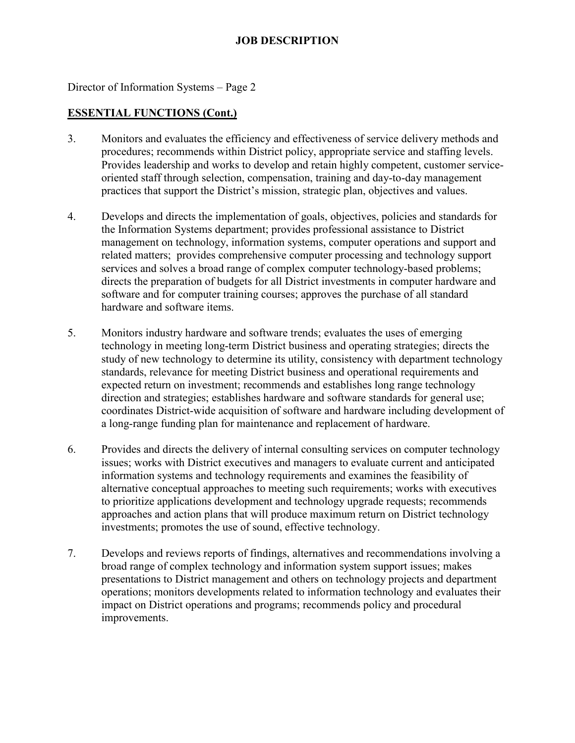Director of Information Systems – Page 2

#### **ESSENTIAL FUNCTIONS (Cont.)**

- 3. Monitors and evaluates the efficiency and effectiveness of service delivery methods and procedures; recommends within District policy, appropriate service and staffing levels. Provides leadership and works to develop and retain highly competent, customer serviceoriented staff through selection, compensation, training and day-to-day management practices that support the District's mission, strategic plan, objectives and values.
- 4. Develops and directs the implementation of goals, objectives, policies and standards for the Information Systems department; provides professional assistance to District management on technology, information systems, computer operations and support and related matters; provides comprehensive computer processing and technology support services and solves a broad range of complex computer technology-based problems; directs the preparation of budgets for all District investments in computer hardware and software and for computer training courses; approves the purchase of all standard hardware and software items.
- 5. Monitors industry hardware and software trends; evaluates the uses of emerging technology in meeting long-term District business and operating strategies; directs the study of new technology to determine its utility, consistency with department technology standards, relevance for meeting District business and operational requirements and expected return on investment; recommends and establishes long range technology direction and strategies; establishes hardware and software standards for general use; coordinates District-wide acquisition of software and hardware including development of a long-range funding plan for maintenance and replacement of hardware.
- 6. Provides and directs the delivery of internal consulting services on computer technology issues; works with District executives and managers to evaluate current and anticipated information systems and technology requirements and examines the feasibility of alternative conceptual approaches to meeting such requirements; works with executives to prioritize applications development and technology upgrade requests; recommends approaches and action plans that will produce maximum return on District technology investments; promotes the use of sound, effective technology.
- 7. Develops and reviews reports of findings, alternatives and recommendations involving a broad range of complex technology and information system support issues; makes presentations to District management and others on technology projects and department operations; monitors developments related to information technology and evaluates their impact on District operations and programs; recommends policy and procedural improvements.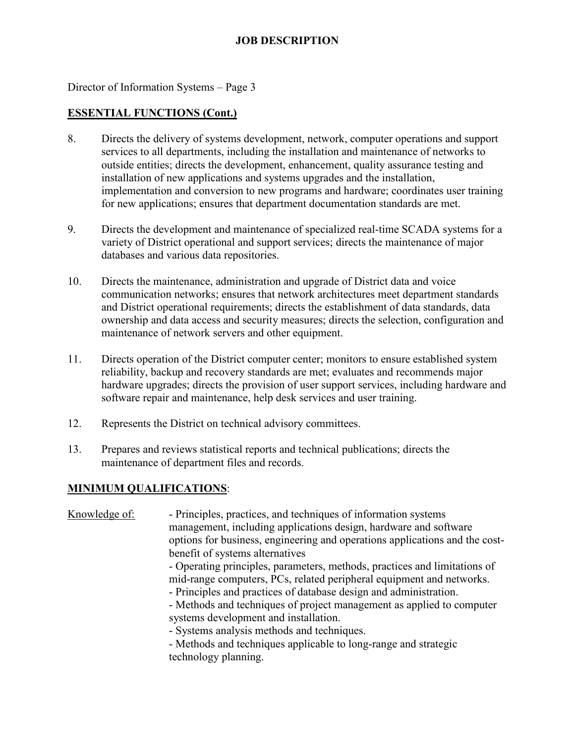Director of Information Systems – Page 3

#### **ESSENTIAL FUNCTIONS (Cont.)**

- 8. Directs the delivery of systems development, network, computer operations and support services to all departments, including the installation and maintenance of networks to outside entities; directs the development, enhancement, quality assurance testing and installation of new applications and systems upgrades and the installation, implementation and conversion to new programs and hardware; coordinates user training for new applications; ensures that department documentation standards are met.
- 9. Directs the development and maintenance of specialized real-time SCADA systems for a variety of District operational and support services; directs the maintenance of major databases and various data repositories.
- 10. Directs the maintenance, administration and upgrade of District data and voice communication networks; ensures that network architectures meet department standards and District operational requirements; directs the establishment of data standards, data ownership and data access and security measures; directs the selection, configuration and maintenance of network servers and other equipment.
- 11. Directs operation of the District computer center; monitors to ensure established system reliability, backup and recovery standards are met; evaluates and recommends major hardware upgrades; directs the provision of user support services, including hardware and software repair and maintenance, help desk services and user training.
- 12. Represents the District on technical advisory committees.
- 13. Prepares and reviews statistical reports and technical publications; directs the maintenance of department files and records.

#### **MINIMUM QUALIFICATIONS**:

| Knowledge of: | - Principles, practices, and techniques of information systems<br>management, including applications design, hardware and software<br>options for business, engineering and operations applications and the cost-                                                                                                                  |
|---------------|------------------------------------------------------------------------------------------------------------------------------------------------------------------------------------------------------------------------------------------------------------------------------------------------------------------------------------|
|               | benefit of systems alternatives<br>- Operating principles, parameters, methods, practices and limitations of<br>mid-range computers, PCs, related peripheral equipment and networks.<br>- Principles and practices of database design and administration.<br>- Methods and techniques of project management as applied to computer |
|               | systems development and installation.<br>- Systems analysis methods and techniques.<br>- Methods and techniques applicable to long-range and strategic<br>technology planning.                                                                                                                                                     |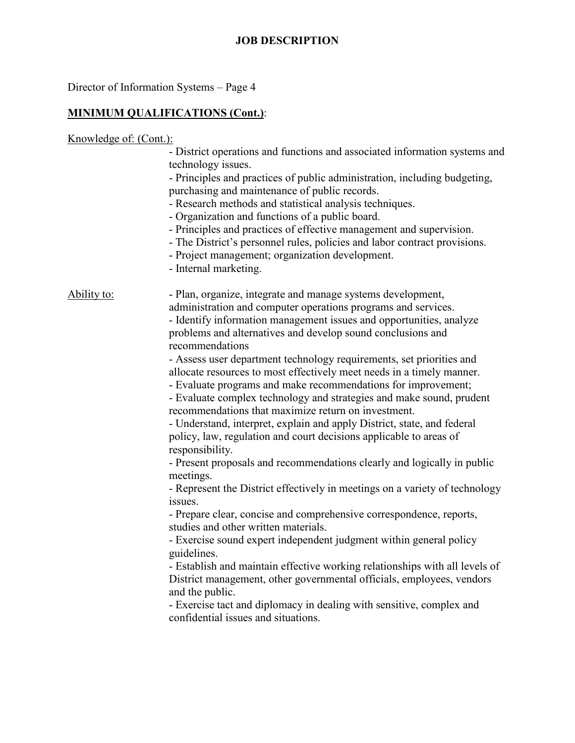Director of Information Systems – Page 4

### **MINIMUM QUALIFICATIONS (Cont.)**:

Knowledge of: (Cont.): - District operations and functions and associated information systems and technology issues. - Principles and practices of public administration, including budgeting, purchasing and maintenance of public records. - Research methods and statistical analysis techniques. - Organization and functions of a public board. - Principles and practices of effective management and supervision. - The District's personnel rules, policies and labor contract provisions. - Project management; organization development. - Internal marketing. Ability to: Plan, organize, integrate and manage systems development, administration and computer operations programs and services. - Identify information management issues and opportunities, analyze problems and alternatives and develop sound conclusions and recommendations - Assess user department technology requirements, set priorities and allocate resources to most effectively meet needs in a timely manner. - Evaluate programs and make recommendations for improvement; - Evaluate complex technology and strategies and make sound, prudent recommendations that maximize return on investment. - Understand, interpret, explain and apply District, state, and federal policy, law, regulation and court decisions applicable to areas of responsibility. - Present proposals and recommendations clearly and logically in public meetings. - Represent the District effectively in meetings on a variety of technology issues. - Prepare clear, concise and comprehensive correspondence, reports, studies and other written materials. - Exercise sound expert independent judgment within general policy guidelines. - Establish and maintain effective working relationships with all levels of District management, other governmental officials, employees, vendors and the public. - Exercise tact and diplomacy in dealing with sensitive, complex and confidential issues and situations.